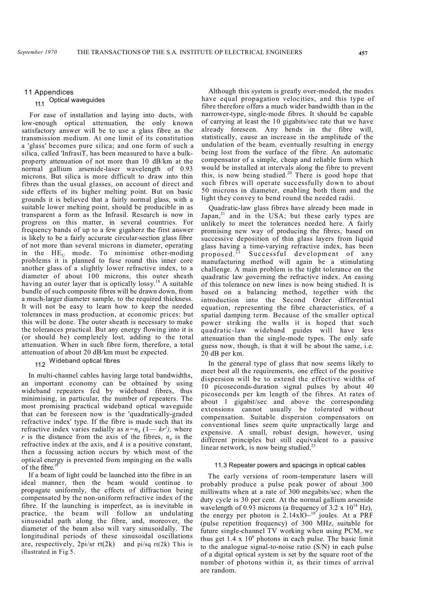#### 11 Appendices

# 11.1 Optical waveguides

For ease of installation and laying into ducts, with low-enough optical attenuation, the only known satisfactory answer will be to use a glass fibre as the transmission medium. At one limit of its constitution a 'glass' becomes pure silica; and one form of such a silica, called 'InfrasiT, has been measured to have a bulkproperty attenuation of not more than 10 dB/km at the normal gallium arsenide-laser wavelength of 0.93 microns. But silica is more difficult to draw into thin fibres than the usual glasses, on account of direct and side effects of its higher melting point. But on basic grounds it is believed that a fairly normal glass, with a suitable lower melting point, should be producible in as transparent a form as the Infrasil. Research is now in progress on this matter, in several countries. For frequency bands of up to a few gigaherz the first answer is likely to be a fairly accurate circular-section glass fibre of not more than several microns in diameter, operating in the  $HE_{U}$  mode. To minimise other-moding problems it is planned to fuse round this inner core another glass of a slightly lower refractive index, to a diameter of about 100 microns, this outer sheath having an outer layer that is optically  $lossy$ .<sup>18</sup> A suitable bundle of such composite fibres will be drawn down, from a much-larger diameter sample, to the required thickness. It will not be easy to learn how to keep the needed tolerances in mass production, at economic prices: but this will be done. The outer sheath is necessary to make the tolerances practical. But any energy flowing into it is (or should be) completely lost, adding to the total attenuation. When in such fibre form, therefore, a total attenuation of about 20 dB/km must be expected.

11.2 Wideband optical fibres

In multi-channel cables having large total bandwidths, an important economy can be obtained by using wideband repeaters fed by wideband fibres, thus minimising, in particular, the number of repeaters. The most promising practical wideband optical waveguide that can be foreseen now is the 'quadratically-graded refractive index' type. If the fibre is made such that its refractive index varies radially as  $n=n_0(1-kr^2)$ , where *r* is the distance from the axis of the fibres,  $n<sub>0</sub>$  is the refractive index at the axis, and *k* is a positive constant, then a focussing action occurs by which most of the optical energy is prevented from impinging on the walls of the fibre.<sup>19</sup>

If a beam of light could be launched into the fibre in an ideal manner, then the beam would continue to propagate uniformly, the effects of diffraction being compensated by the non-uniform refractive index of the fibre. If the launching is imperfect, as is inevitable in practice, the beam will follow an undulating sinusoidal path along the fibre, and, moreover, the diameter of the beam also will vary sinusoidally. The longitudinal periods of these sinusoidal oscillations are, respectively, 2pi/sr rt(2k)and pi/sq rt(2k) This is illustrated in Fig 5.

Although this system is greatly over-moded, the modes have equal propagation velocities, and this type of fibre therefore offers a much wider bandwidth than in the narrower-type, single-mode fibres. It should be capable of carrying at least the 10 gigabits/sec rate that we have already foreseen. Any bends in the fibre will, statistically, cause an increase in the amplitude of the undulation of the beam, eventually resulting in energy being lost from the surface of the fibre. An automatic compensator of a simple, cheap and reliable form which would be installed at intervals along the fibre to prevent this, is now being studied.<sup>20</sup> There is good hope that such fibres will operate successfully down to about 50 microns in diameter, enabling both them and the light they convey to bend round the needed radii.

Quadratic-law glass fibres have already been made in Japan, $21$  and in the USA; but these early types are unlikely to meet the tolerances needed here. A fairly promising new way of producing the fibres, based on successive deposition of thin glass layers from liquid glass having a time-varying refractive index, has been proposed. $22$  Successful development of any manufacturing method will again be a stimulating challenge. A main problem is the tight tolerance on the quadratic law governing the refractive index. An easing of this tolerance on new lines is now being studied. It is based on a balancing method, together with the introduction into the Second Order differential equation, representing the fibre characteristics, of a spatial damping term. Because of the smaller optical power striking the walls it is hoped that such quadratic-law wideband guides will have less attenuation than the single-mode types. The only safe guess now, though, is that it will be about the same, i.e. 20 dB per km.

In the general type of glass that now seems likely to meet best all the requirements, one effect of the positive dispersion will be to extend the effective widths of 10 picoseconds-duration signal pulses by about 40 picoseconds per km length of the fibres. At rates of about 1 gigabit/sec and above the corresponding extensions cannot usually be tolerated without compensation. Suitable dispersion compensators on conventional lines seem quite unpractically large and expensive. A small, robust design, however, using different principles but still equivalent to a passive linear network, is now being studied.<sup>23</sup>

#### 11.3 Repeater powers and spacings in optical cables

The early versions of room-temperature lasers will probably produce a pulse peak power of about 300 milliwatts when at a rate of 300 megabits/sec, when the duty cycle is 30 per cent. At the normal gallium arsenide wavelength of 0.93 microns (a frequency of 3.2 x  $10^{14}$  Hz), the energy per photon is  $2.14x\overline{10^{-19}}$  joules. At a PRF (pulse repetition frequency) of 300 MHz, suitable for future single-channel TV working when using PCM, we thus get  $1.4 \times 10^9$  photons in each pulse. The basic limit to the analogue signal-to-noise ratio (S/N) in each pulse of a digital optical system is set by the square root of the number of photons within it, as their times of arrival are random.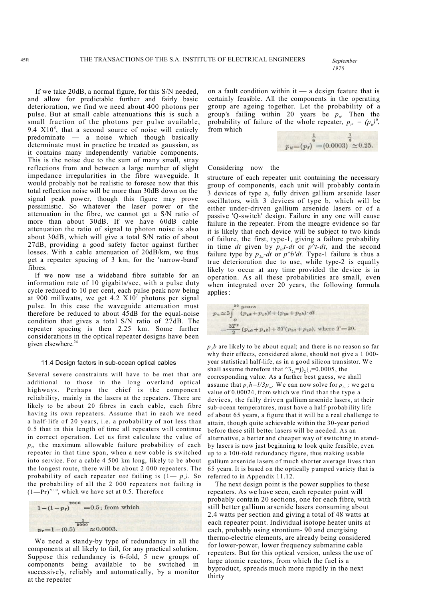*1970*

If we take 20dB, a normal figure, for this S/N needed, and allow for predictable further and fairly basic deterioration, we find we need about 400 photons per pulse. But at small cable attenuations this is such a small fraction of the photons per pulse available, 9.4  $X10^8$ , that a second source of noise will entirely predominate — a noise which though basically determinate must in practice be treated as gaussian, as it contains many independently variable components. This is the noise due to the sum of many small, stray reflections from and between a large number of slight impedance irregularities in the fibre waveguide. It would probably not be realistic to foresee now that this total reflection noise will be more than 30dB down on the signal peak power, though this figure may prove pessimistic. So whatever the laser power or the attenuation in the fibre, we cannot get a S/N ratio of more than about 30dB. If we have 60dB cable attenuation the ratio of signal to photon noise is also about 30dB, which will give a total S/N ratio of about 27dB, providing a good safety factor against further losses. With a cable attenuation of 20dB/km, we thus get a repeater spacing of 3 km, for the 'narrow-band' fibres.

If we now use a wideband fibre suitable for an information rate of 10 gigabits/sec, with a pulse duty cycle reduced to 10 per cent, each pulse peak now being at 900 milliwatts, we get  $4.2 \text{ X}10^7$  photons per signal pulse. In this case the waveguide attenuation must therefore be reduced to about 45dB for the equal-noise condition that gives a total S/N ratio of 27dB. The repeater spacing is then 2.25 km. Some further considerations in the optical repeater designs have been given elsewhere. 24

#### 11.4 Design factors in sub-ocean optical cables

Several severe constraints will have to be met that are additional to those in the long overland optical highways. Perhaps the chief is the component reliability, mainly in the lasers at the repeaters. There are likely to be about 20 fibres in each cable, each fibre having its own repeaters. Assume that in each we need a half-life of 20 years, i.e. a probability of not less than 0.5 that in this length of time all repeaters will continue in correct operation. Let us first calculate the value of *pr ,* the maximum allowable failure probability of each repeater in that time span, when a new cable is switched into service. For a cable 4 500 km long, likely to be about the longest route, there will be about 2 000 repeaters. The probability of each repeater *not* failing is (1— *p<sup>r</sup> ).* So the probability of all the 2 000 repeaters not failing is  $(1-Pr)^{2000}$ , which we have set at 0.5. Therefore

$$
1 - (1 - pr)2000 = 0.5; from which
$$
  

$$
\frac{1}{2000}
$$
  

$$
pr=1 - (0.5)2000 \approx 0.0003.
$$

We need a standy-by type of redundancy in all the components at all likely to fail, for any practical solution. Suppose this redundancy is 6-fold, 5 new groups of components being available to be switched in successively, reliably and automatically, by a monitor at the repeater

on a fault condition within it  $-$  a design feature that is certainly feasible. All the components in the operating group are ageing together. Let the probability of a group's failing within 20 years be  $p_u$ . Then the probability of failure of the whole repeater,  $p_r = (p_\nu)^6$ , from which

$$
p_u=(p_r)^{\frac{1}{6}}=(0.0003)^{\frac{1}{6}}\approx 0.25.
$$

#### Considering now the

structure of each repeater unit containing the necessary group of components, each unit will probably contain 3 devices of type a, fully driven gallium arsenide laser oscillators, with 3 devices of type b, which will be either under-driven gallium arsenide lasers or of a passive 'Q-switch' design. Failure in any one will cause failure in the repeater. From the meagre evidence so far it is likely that each device will be subject to two kinds of failure, the first, type-1, giving a failure probability in time *dt* given by  $p_{ia}t-dt$  or  $p^{\wedge}t-dt$ , and the second failure type by *p2a-dt* or *p^b'dt.* Type-1 failure is thus a true deterioration due to use, while type-2 is equally likely to occur at any time provided the device is in operation. As all these probabilities are small, even when integrated over 20 years, the following formula applies:



 $p<sub>i</sub>b$  are likely to be about equal; and there is no reason so far why their effects, considered alone, should not give a 1 000 year statistical half-life, as in a good silicon transistor. We shall assume therefore that  $^{8}3_{2a}$ =j)<sub>2</sub>{,=0.0005, the corresponding value. As a further best guess, we shall assume that  $p_1 h = l/3p_{ia}$ . We can now solve for  $p_{la}$ ; we get a value of 0.00024, from which we find that the type a devices, the fully driven gallium arsenide lasers, at their sub-ocean temperatures, must have a half-probability life of about 65 years, a figure that it will be a real challenge to attain, though quite achievable within the 30-year period before these still better lasers will be needed. As an alternative, a better and cheaper way of switching in standby lasers is now just beginning to look quite feasible, even up to a 100-fold redundancy figure, thus making usable gallium arsenide lasers of much shorter average lives than 65 years. It is based on the optically pumped variety that is referred to in Appendix 11.12.

The next design point is the power supplies to these repeaters. As we have seen, each repeater point will probably contain 20 sections, one for each fibre, with still better gallium arsenide lasers consuming about 2.4 watts per section and giving a total of 48 watts at each repeater point. Individual isotope heater units at each, probably using strontium- 90 and energising thermo-electric elements, are already being considered for lower-power, lower frequency submarine cable repeaters. But for this optical version, unless the use of large atomic reactors, from which the fuel is a byproduct, spreads much more rapidly in the next thirty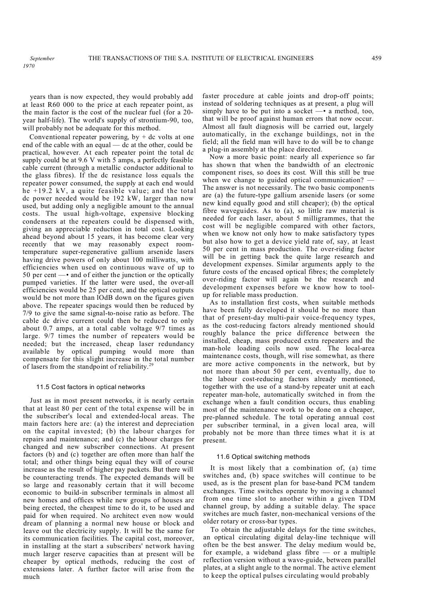years than is now expected, they would probably add at least R60 000 to the price at each repeater point, as the main factor is the cost of the nuclear fuel (for a 20 year half-life). The world's supply of strontium-90, too, will probably not be adequate for this method.

Conventional repeater powering, by  $+$  dc volts at one end of the cable with an equal — dc at the other, could be practical, however. At each repeater point the total dc supply could be at 9.6 V with 5 amps, a perfectly feasible cable current (through a metallic conductor additional to the glass fibres). If the dc resistance loss equals the repeater power consumed, the supply at each end would he +19.2 kV, a quite feasible value; and the total dc power needed would be 192 kW, larger than now used, but adding only a negligible amount to the annual costs. The usual high-voltage, expensive blocking condensers at the repeaters could be dispensed with, giving an appreciable reduction in total cost. Looking ahead beyond about 15 years, it has become clear very recently that we may reasonably expect roomtemperature super-regenerative gallium arsenide lasers having drive powers of only about 100 milliwatts, with efficiencies when used on continuous wave of up to 50 per cent —• and of either the junction or the optically pumped varieties. If the latter were used, the over-all efficiencies would be 25 per cent, and the optical outputs would be not more than lOdB down on the figures given above. The repeater spacings would then be reduced by 7/9 to give the same signal-to-noise ratio as before. The cable dc drive current could then be reduced to only about 0.7 amps, at a total cable voltage 9/7 times as large. 9/7 times the number of repeaters would be needed; but the increased, cheap laser redundancy available by optical pumping would more than compensate for this slight increase in the total number of lasers from the standpoint of reliability.<sup>2</sup>

#### 11.5 Cost factors in optical networks

Just as in most present networks, it is nearly certain that at least 80 per cent of the total expense will be in the subscriber's local and extended-local areas. The main factors here are: (a) the interest and depreciation on the capital invested; (b) the labour charges for repairs and maintenance; and (c) the labour charges for changed and new subscriber connections. At present factors (b) and (c) together are often more than half the total; and other things being equal they will of course increase as the result of higher pay packets. But there will be counteracting trends. The expected demands will be so large and reasonably certain that it will become economic to build-in subscriber terminals in almost all new homes and offices while new groups of houses are being erected, the cheapest time to do it, to be used and paid for when required. No architect even now would dream of planning a normal new house or block and leave out the electricity supply. It will be the same for its communication facilities. The capital cost, moreover, in installing at the start a subscribers' network having much larger reserve capacities than at present will be cheaper by optical methods, reducing the cost of extensions later. A further factor will arise from the much

faster procedure at cable joints and drop-off points; instead of soldering techniques as at present, a plug will simply have to be put into a socket  $-\cdot$  a method, too, that will be proof against human errors that now occur. Almost all fault diagnosis will be carried out, largely automatically, in the exchange buildings, not in the field; all the field man will have to do will be to change a plug-in assembly at the place directed.

Now a more basic point: nearly all experience so far has shown that when the bandwidth of an electronic component rises, so does its cost. Will this still be true when we change to guided optical communication? — The answer is not necessarily. The two basic components are (a) the future-type gallium arsenide lasers (or some new kind equally good and still cheaper); (b) the optical fibre waveguides. As to (a), so little raw material is needed for each laser, about 5 milligrammes, that the cost will be negligible compared with other factors, when we know not only how to make satisfactory types but also how to get a device yield rate of, say, at least 50 per cent in mass production. The over-riding factor will be in getting back the quite large research and development expenses. Similar arguments apply to the future costs of the encased optical fibres; the completely over-riding factor will again be the research and development expenses before we know how to toolup for reliable mass production.

As to installation first costs, when suitable methods have been fully developed it should be no more than that of present-day multi-pair voice-frequency types, as the cost-reducing factors already mentioned should roughly balance the price difference between the installed, cheap, mass produced extra repeaters and the man-hole loading coils now used. The local-area maintenance costs, though, will rise somewhat, as there are more active components in the network, but by not more than about 50 per cent, eventually, due to the labour cost-reducing factors already mentioned, together with the use of a stand-by repeater unit at each repeater man-hole, automatically switched in from the exchange when a fault condition occurs, thus enabling most of the maintenance work to be done on a cheaper, pre-planned schedule. The total operating annual cost per subscriber terminal, in a given local area, will probably not be more than three times what it is at present.

#### 11.6 Optical switching methods

It is most likely that a combination of, (a) time switches and, (b) space switches will continue to be used, as is the present plan for base-band PCM tandem exchanges. Time switches operate by moving a channel from one time slot to another within a given TDM channel group, by adding a suitable delay. The space switches are much faster, non-mechanical versions of the older rotary or cross-bar types.

To obtain the adjustable delays for the time switches, an optical circulating digital delay-line technique will often be the best answer. The delay medium would be, for example, a wideband glass fibre  $-$  or a multiple reflection version without a wave-guide, between parallel plates, at a slight angle to the normal. The active element to keep the optical pulses circulating would probably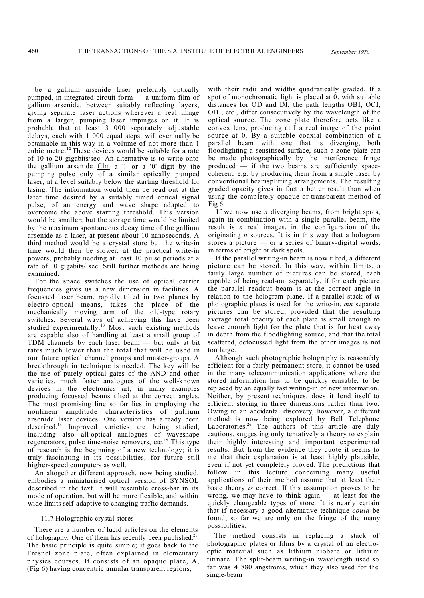be a gallium arsenide laser preferably optically pumped, in integrated circuit form — a uniform film of gallium arsenide, between suitably reflecting layers, giving separate laser actions wherever a real image from a larger, pumping laser impinges on it. It is probable that at least 3 000 separately adjustable delays, each with 1 000 equal steps, will eventually be obtainable in this way in a volume of not more than 1 cubic metre.<sup>12</sup> These devices would be suitable for a rate of 10 to 20 gigabits/sec. An alternative is to write onto the gallium arsenide  $\underline{film}$  a '!' or a '0' digit by the pumping pulse only of a similar optically pumped laser, at a level suitably below the starting threshold for lasing. The information would then be read out at the later time desired by a suitably timed optical signal pulse, of an energy and wave shape adapted to overcome the above starting threshold. This version would be smaller; but the storage time would be limited by the maximum spontaneous decay time of the gallium arsenide as a laser, at present about 10 nanoseconds. A third method would be a crystal store but the write-in time would then be slower, at the practical write-in powers, probably needing at least 10 pulse periods at a rate of 10 gigabits/ sec. Still further methods are being examined.

For the space switches the use of optical carrier frequencies gives us a new dimension in facilities. A focussed laser beam, rapidly tilted in two planes by electro-optical means, takes the place of the mechanically moving arm of the old-type rotary switches. Several ways of achieving this have been studied experimentally.<sup>13</sup> Most such existing methods are capable also of handling at least a small group of TDM channels by each laser beam — but only at bit rates much lower than the total that will be used in our future optical channel groups and master-groups. A breakthrough in technique is needed. The key will be the use of purely optical gates of the AND and other varieties, much faster analogues of the well-known devices in the electronics art, in many examples producing focussed beams tilted at the correct angles. The most promising line so far lies in employing the nonlinear amplitude characteristics of gallium arsenide laser devices. One version has already been described. <sup>14</sup> Improved varieties are being studied, including also all-optical analogues of waveshape regenerators, pulse time-noise removers, etc.<sup>15</sup> This type of research is the beginning of a new technology; it is truly fascinating in its possibilities, for future still higher-speed computers as well.

An altogether different approach, now being studied, embodies a miniaturised optical version of SYNSOL described in the text. It will resemble cross-bar in its mode of operation, but will be more flexible, and within wide limits self-adaptive to changing traffic demands.

## 11.7 Holographic crystal stores

There are a number of lucid articles on the elements of holography. One of them has recently been published.<sup>25</sup> The basic principle is quite simple; it goes back to the Fresnel zone plate, often explained in elementary physics courses. If consists of an opaque plate, A, (Fig 6) having concentric annular transparent regions,

with their radii and widths quadratically graded. If a spot of monochromatic light is placed at 0, with suitable distances for OD and DI, the path lengths OBI, OCI, ODI, etc., differ consecutively by the wavelength of the optical source. The zone plate therefore acts like a convex lens, producing at I a real image of the point source at 0. By a suitable coaxial combination of a parallel beam with one that is diverging, both floodlighting a sensitised surface, such a zone plate can be made photographically by the interference fringe produced — if the two beams are sufficiently spacecoherent, e.g. by producing them from a single laser by conventional beamsplitting arrangements. The resulting graded opacity gives in fact a better result than when using the completely opaque-or-transparent method of Fig 6.

If we now use *n* diverging beams, from bright spots, again in combination with a single parallel beam, the result is *n* real images, in the configuration of the originating *n* sources. It is in this way that a hologram stores a picture  $-$  or a series of binary-digital words, in terms of bright or dark spots.

If the parallel writing-in beam is now tilted, a different picture can be stored. In this way, within limits, a fairly large number of pictures can be stored, each capable of being read-out separately, if for each picture the parallel readout beam is at the correct angle in relation to the hologram plane. If a parallel stack of *m* photographic plates is used for the write-in, *mn* separate pictures can be stored, provided that the resulting average total opacity of each plate is small enough to leave enough light for the plate that is furthest away in depth from the floodlighting source, and that the total scattered, defocussed light from the other images is not too large.

Although such photographic holography is reasonably efficient for a fairly permanent store, it cannot be used in the many telecommunication applications where the stored information has to be quickly erasable, to be replaced by an equally fast writing-in of new information. Neither, by present techniques, does it lend itself to efficient storing in three dimensions rather than two. Owing to an accidental discovery, however, a different method is now being explored by Bell Telephone Laboratories.<sup>26</sup> The authors of this article are duly cautious, suggesting only tentatively a theory to explain their highly interesting and important experimental results. But from the evidence they quote it seems to me that their explanation is at least highly plausible, even if not yet completely proved. The predictions that follow in this lecture concerning many useful applications of their method assume that at least their basic theory *is* correct. If this assumption proves to be wrong, we may have to think again  $-$  at least for the quickly changeable types of store. It is nearly certain that if necessary a good alternative technique *could* be found; so far we are only on the fringe of the many possibilities.

The method consists in replacing a stack of photographic plates or films by a crystal of an electrooptic material such as lithium niobate or lithium titinate. The split-beam writing-in wavelength used so far was 4 880 angstroms, which they also used for the single-beam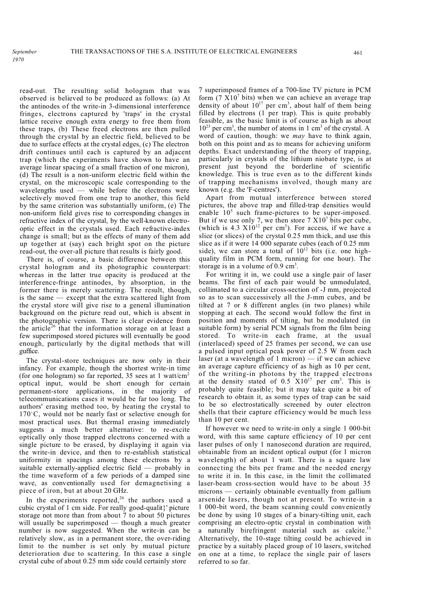read-out. The resulting solid hologram that was observed is believed to be produced as follows: (a) At the antinodes of the write-in 3-dimensional interference fringes, electrons captured by 'traps' in the crystal lattice receive enough extra energy to free them from these traps, (b) These freed electrons are then pulled through the crystal by an electric field, believed to be due to surface effects at the crystal edges, (c) The electron drift continues until each is captured by an adjacent trap (which the experiments have shown to have an average linear spacing of a small fraction of one micron), (d) The result is a non-uniform electric field within the crystal, on the microscopic scale corresponding to the wavelengths used — while before the electrons were selectively moved from one trap to another, this field by the same criterion was substantially uniform, (e) The non-uniform field gives rise to corresponding changes in refractive index of the crystal, by the well-known electrooptic effect in the crystals used. Each refractive-index change is small; but as the effects of many of them add up together at (say) each bright spot on the picture read-out, the over-all picture that results is fairly good.

There is, of course, a basic difference between this crystal hologram and its photographic counterpart: whereas in the latter true opacity is produced at the interference-fringe antinodes, by absorption, in the former there is merely scattering. The result, though, is the same — except that the extra scattered light from the crystal store will give rise to a general illumination background on the picture read out, which is absent in the photographic version. There is clear evidence from the article<sup>26</sup> that the information storage on at least a few superimposed stored pictures will eventually be good enough, particularly by the digital methods that will guffice.

The crystal-store techniques are now only in their infancy. For example, though the shortest write-in time (for one hologram) so far reported, 35 sees at 1 watt/cm<sup>2</sup> optical input, would be short enough for certain permanent-store applications, in the majority of telecommunications cases it would be far too long. The authors' erasing method too, by heating the crystal to  $170^{\circ}$ C, would not be nearly fast or selective enough for most practical uses. But thermal erasing immediately suggests a much better alternative: to re-excite optically only those trapped electrons concerned with a single picture to be erased, by displaying it again via the write-in device, and then to re-establish statistical uniformity in spacings among these electrons by a suitable externally-applied electric field — probably in the time waveform of a few periods of a damped sine wave, as conventionally used for demagnetising a piece of iron, but at about 20 GHz.

In the experiments reported,<sup>26</sup> the authors used a cubic crystal of 1 cm side. For really good-qualit}' picture storage not more than from about 7 to about 50 pictures will usually be superimposed — though a much greater number is now suggested. When the write-in can be relatively slow, as in a permanent store, the over-riding limit to the number is set only by mutual picture deterioration due to scattering. In this case a single crystal cube of about 0.25 mm side could certainly store

7 superimposed frames of a 700-line TV picture in PCM form (7  $\overline{X}$ 10<sup>7</sup> bits) when we can achieve an average trap density of about  $10^{17}$  per cm<sup>3</sup>, about half of them being filled by electrons (1 per trap). This is quite probably feasible, as the basic limit is of course as high as about  $10^{23}$  per cm<sup>3</sup>, the number of atoms in 1 cm<sup>3</sup> of the crystal. A word of caution, though: we *may* have to think again, both on this point and as to means for achieving uniform depths. Exact understanding of the theory of trapping, particularly in crystals of the lithium niobate type, is at present just beyond the borderline of scientific knowledge. This is true even as to the different kinds of trapping mechanisms involved, though many are known (e.g. the 'F-centres').

Apart from mutual interference between stored pictures, the above trap and filled-trap densities would enable  $10<sup>5</sup>$  such frame-pictures to be super-imposed. But if we use only 7, we then store  $7 \times 10^7$  bits per cube, (which is 4.3  $X10^{12}$  per cm<sup>3</sup>). For access, if we have a slice (or slices) of the crystal 0.25 mm thick, and use this slice as if it were 14 000 separate cubes (each of 0.25 mm side), we can store a total of  $10^{12}$  bits (i.e. one highquality film in PCM form, running for one hour). The storage is in a volume of  $0.9 \text{ cm}^3$ .

For writing it in, we could use a single pair of laser beams. The first of each pair would be unmodulated, collimated to a circular cross-section of -J mm, projected so as to scan successively all the J-mm cubes, and be tilted at 7 or 8 different angles (in two planes) while stopping at each. The second would follow the first in position and moments of tilting, but be modulated (in suitable form) by serial PCM signals from the film being stored. To write-in each frame, at the usual (interlaced) speed of 25 frames per second, we can use a pulsed input optical peak power of 2.5 W from each laser (at a wavelength of 1 micron)  $-$  if we can achieve an average capture efficiency of as high as 10 per cent, of the writing-in photons by the trapped electrons at the density stated of  $0.5 \times 10^{17}$  per cm<sup>3</sup>. This is probably quite feasible; but it may take quite a bit of research to obtain it, as some types of trap can be said to be so electrostatically screened by outer electron shells that their capture efficiency would be much less than 10 per cent.

If however we need to write-in only a single 1 000-bit word, with this same capture efficiency of 10 per cent laser pulses of only 1 nanosecond duration are required, obtainable from an incident optical output (for 1 micron wavelength) of about 1 watt. There is a square law connecting the bits per frame and the needed energy to write it in. In this case, in the limit the collimated laser-beam cross-section would have to be about 35 microns — certainly obtainable eventually from gallium arsenide lasers, though not at present. To write-in a 1 000-bit word, the beam scanning could conveniently be done by using 10 stages of a binary-tilting unit, each comprising an electro-optic crystal in combination with a naturally birefringent material such as calcite.<sup>13</sup> Alternatively, the 10-stage tilting could be achieved in practice by a suitably placed group of 10 lasers, switched on one at a time, to replace the single pair of lasers referred to so far.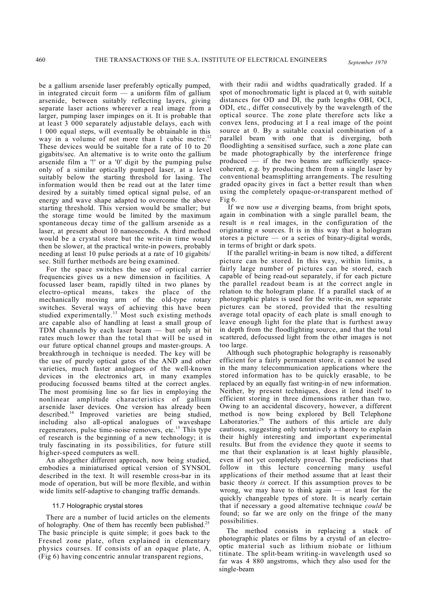be a gallium arsenide laser preferably optically pumped,

in integrated circuit form  $-$  a uniform film of gallium arsenide, between suitably reflecting layers, giving separate laser actions wherever a real image from a larger, pumping laser impinges on it. It is probable that at least 3 000 separately adjustable delays, each with 1 000 equal steps, will eventually be obtainable in this way in a volume of not more than 1 cubic metre.<sup>12</sup> These devices would be suitable for a rate of 10 to 20 gigabits/sec. An alternative is to write onto the gallium arsenide film a '!' or a '0' digit by the pumping pulse only of a similar optically pumped laser, at a level suitably below the starting threshold for lasing. The information would then be read out at the later time desired by a suitably timed optical signal pulse, of an energy and wave shape adapted to overcome the above starting threshold. This version would be smaller; but the storage time would be limited by the maximum spontaneous decay time of the gallium arsenide as a laser, at present about 10 nanoseconds. A third method would be a crystal store but the write-in time would then be slower, at the practical write-in powers, probably needing at least 10 pulse periods at a rate of 10 gigabits/ sec. Still further methods are being examined.

For the space switches the use of optical carrier frequencies gives us a new dimension in facilities. A focussed laser beam, rapidly tilted in two planes by electro-optical means, takes the place of the mechanically moving arm of the old-type rotary switches. Several ways of achieving this have been studied experimentally. <sup>13</sup> Most such existing methods are capable also of handling at least a small group of TDM channels by each laser beam — but only at bit rates much lower than the total that will be used in our future optical channel groups and master-groups. A breakthrough in technique is needed. The key will be the use of purely optical gates of the AND and other varieties, much faster analogues of the well-known devices in the electronics art, in many examples producing focussed beams tilted at the correct angles. The most promising line so far lies in employing the nonlinear amplitude characteristics of gallium arsenide laser devices. One version has already been described.<sup>14</sup> Improved varieties are being studied, including also all-optical analogues of waveshape regenerators, pulse time-noise removers, etc.<sup>15</sup> This type of research is the beginning of a new technology; it is truly fascinating in its possibilities, for future still higher-speed computers as well.

An altogether different approach, now being studied, embodies a miniaturised optical version of SYNSOL described in the text. It will resemble cross-bar in its mode of operation, but will be more flexible, and within wide limits self-adaptive to changing traffic demands.

#### 11.7 Holographic crystal stores

There are a number of lucid articles on the elements of holography. One of them has recently been published.<sup>25</sup> The basic principle is quite simple; it goes back to the Fresnel zone plate, often explained in elementary physics courses. If consists of an opaque plate, A, (Fig 6) having concentric annular transparent regions,

with their radii and widths quadratically graded. If a spot of monochromatic light is placed at 0, with suitable distances for OD and DI, the path lengths OBI, OCI, ODI, etc., differ consecutively by the wavelength of the optical source. The zone plate therefore acts like a convex lens, producing at I a real image of the point source at 0. By a suitable coaxial combination of a parallel beam with one that is diverging, both floodlighting a sensitised surface, such a zone plate can be made photographically by the interference fringe produced — if the two beams are sufficiently spacecoherent, e.g. by producing them from a single laser by conventional beamsplitting arrangements. The resulting graded opacity gives in fact a better result than when using the completely opaque-or-transparent method of Fig 6.

If we now use *n* diverging beams, from bright spots, again in combination with a single parallel beam, the result is *n* real images, in the configuration of the originating *n* sources. It is in this way that a hologram stores a picture — or a series of binary-digital words, in terms of bright or dark spots.

If the parallel writing-in beam is now tilted, a different picture can be stored. In this way, within limits, a fairly large number of pictures can be stored, each capable of being read-out separately, if for each picture the parallel readout beam is at the correct angle in relation to the hologram plane. If a parallel stack of *m* photographic plates is used for the write-in, *mn* separate pictures can be stored, provided that the resulting average total opacity of each plate is small enough to leave enough light for the plate that is furthest away in depth from the floodlighting source, and that the total scattered, defocussed light from the other images is not too large.

Although such photographic holography is reasonably efficient for a fairly permanent store, it cannot be used in the many telecommunication applications where the stored information has to be quickly erasable, to be replaced by an equally fast writing-in of new information. Neither, by present techniques, does it lend itself to efficient storing in three dimensions rather than two. Owing to an accidental discovery, however, a different method is now being explored by Bell Telephone Laboratories.<sup>26</sup> The authors of this article are duly cautious, suggesting only tentatively a theory to explain their highly interesting and important experimental results. But from the evidence they quote it seems to me that their explanation is at least highly plausible, even if not yet completely proved. The predictions that follow in this lecture concerning many useful applications of their method assume that at least their basic theory *is* correct. If this assumption proves to be wrong, we may have to think again  $-$  at least for the quickly changeable types of store. It is nearly certain that if necessary a good alternative technique *could* be found; so far we are only on the fringe of the many possibilities.

The method consists in replacing a stack of photographic plates or films by a crystal of an electrooptic material such as lithium niobate or lithium titinate. The split-beam writing-in wavelength used so far was 4 880 angstroms, which they also used for the single-beam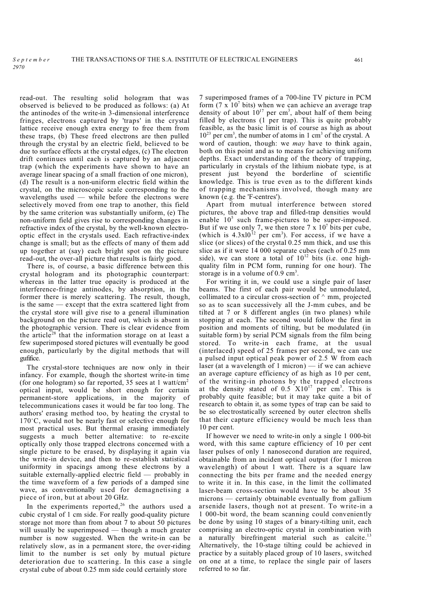read-out. The resulting solid hologram that was observed is believed to be produced as follows: (a) At the antinodes of the write-in 3-dimensional interference fringes, electrons captured by 'traps' in the crystal lattice receive enough extra energy to free them from these traps, (b) These freed electrons are then pulled through the crystal by an electric field, believed to be due to surface effects at the crystal edges, (c) The electron drift continues until each is captured by an adjacent trap (which the experiments have shown to have an average linear spacing of a small fraction of one micron), (d) The result is a non-uniform electric field within the crystal, on the microscopic scale corresponding to the wavelengths used — while before the electrons were selectively moved from one trap to another, this field by the same criterion was substantially uniform, (e) The non-uniform field gives rise to corresponding changes in refractive index of the crystal, by the well-known electrooptic effect in the crystals used. Each refractive-index change is small; but as the effects of many of them add up together at (say) each bright spot on the picture read-out, the over-all picture that results is fairly good.

*Septembe r*

*2970*

There is, of course, a basic difference between this crystal hologram and its photographic counterpart: whereas in the latter true opacity is produced at the interference-fringe antinodes, by absorption, in the former there is merely scattering. The result, though, is the same — except that the extra scattered light from the crystal store will give rise to a general illumination background on the picture read out, which is absent in the photographic version. There is clear evidence from the article<sup>28</sup> that the information storage on at least a few superimposed stored pictures will eventually be good enough, particularly by the digital methods that will gufifice.

The crystal-store techniques are now only in their infancy. For example, though the shortest write-in time (for one hologram) so far reported, 35 sees at 1 watt/cm<sup>2</sup> optical input, would be short enough for certain permanent-store applications, in the majority of telecommunications cases it would be far too long. The authors' erasing method too, by heating the crystal to  $170^{\circ}$ C, would not be nearly fast or selective enough for most practical uses. But thermal erasing immediately suggests a much better alternative: to re-excite optically only those trapped electrons concerned with a single picture to be erased, by displaying it again via the write-in device, and then to re-establish statistical uniformity in spacings among these electrons by a suitable externally-applied electric field — probably in the time waveform of a few periods of a damped sine wave, as conventionally used for demagnetising a piece of iron, but at about 20 GHz.

In the experiments reported, $26$  the authors used a cubic crystal of 1 cm side. For really good-quality picture storage not more than from about 7 to about 50 pictures will usually be superimposed — though a much greater number is now suggested. When the write-in can be relatively slow, as in a permanent store, the over-riding limit to the number is set only by mutual picture deterioration due to scattering. In this case a single crystal cube of about 0.25 mm side could certainly store

7 superimposed frames of a 700-line TV picture in PCM form  $(7 \times 10^7)$  bits) when we can achieve an average trap density of about  $10^{17}$  per cm<sup>3</sup>, about half of them being filled by electrons (1 per trap). This is quite probably feasible, as the basic limit is of course as high as about  $10^{23}$  per cm<sup>3</sup>, the number of atoms in 1 cm<sup>3</sup> of the crystal. A word of caution, though: we *may* have to think again, both on this point and as to means for achieving uniform depths. Exact understanding of the theory of trapping, particularly in crystals of the lithium niobate type, is at present just beyond the borderline of scientific knowledge. This is true even as to the different kinds of trapping mechanisms involved, though many are known (e.g. the 'F-centres').

Apart from mutual interference between stored pictures, the above trap and filled-trap densities would enable 10<sup>5</sup> such frame-pictures to be super-imposed. But if we use only 7, we then store  $7 \times 10^7$  bits per cube, (which is  $4.3 \times 10^{12}$  per cm<sup>3</sup>). For access, if we have a slice (or slices) of the crystal 0.25 mm thick, and use this slice as if it were 14 000 separate cubes (each of 0.25 mm side), we can store a total of  $10^{12}$  bits (i.e. one highquality film in PCM form, running for one hour). The storage is in a volume of  $0.9 \text{ cm}^3$ .

For writing it in, we could use a single pair of laser beams. The first of each pair would be unmodulated, collimated to a circular cross-section of  $\land$  mm, projected so as to scan successively all the J-mm cubes, and be tilted at 7 or 8 different angles (in two planes) while stopping at each. The second would follow the first in position and moments of tilting, but be modulated (in suitable form) by serial PCM signals from the film being stored. To write-in each frame, at the usual (interlaced) speed of 25 frames per second, we can use a pulsed input optical peak power of 2.5 W from each laser (at a wavelength of 1 micron)  $-$  if we can achieve an average capture efficiency of as high as 10 per cent, of the writing-in photons by the trapped electrons at the density stated of  $0.5 \times 10^{17}$  per cm<sup>3</sup>. This is probably quite feasible; but it may take quite a bit of research to obtain it, as some types of trap can be said to be so electrostatically screened by outer electron shells that their capture efficiency would be much less than 10 per cent.

If however we need to write-in only a single 1 000-bit word, with this same capture efficiency of 10 per cent laser pulses of only 1 nanosecond duration are required, obtainable from an incident optical output (for 1 micron wavelength) of about 1 watt. There is a square law connecting the bits per frame and the needed energy to write it in. In this case, in the limit the collimated laser-beam cross-section would have to be about 35 microns — certainly obtainable eventually from gallium arsenide lasers, though not at present. To write-in a 1 000-bit word, the beam scanning could conveniently be done by using 10 stages of a binary-tilting unit, each comprising an electro-optic crystal in combination with a naturally birefringent material such as calcite.<sup>13</sup> Alternatively, the 10-stage tilting could be achieved in practice by a suitably placed group of 10 lasers, switched on one at a time, to replace the single pair of lasers referred to so far.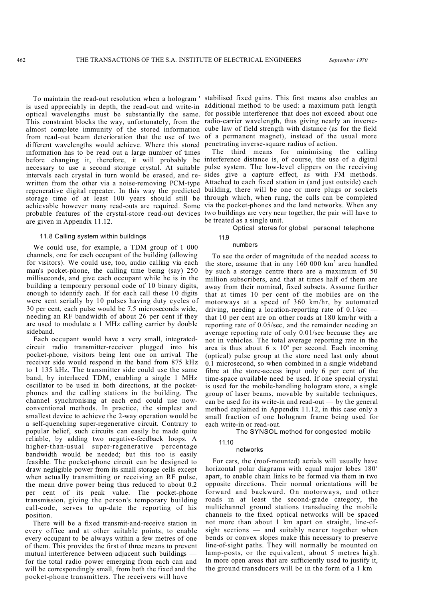is used appreciably in depth, the read-out and write-in additional method to be used: a maximum path length optical wavelengths must be substantially the same. for possible interference that does not exceed about one This constraint blocks the way, unfortunately, from the radio-carrier wavelength, thus giving nearly an inversealmost complete immunity of the stored information cube law of field strength with distance (as for the field from read-out beam deterioration that the use of two of a permanent magnet), instead of the usual more different wavelengths would achieve. Where this stored penetrating inverse-square radius of action. information has to be read out a large number of times before changing it, therefore, it will probably be interference distance is, of course, the use of a digital necessary to use a second storage crystal. At suitable pulse system. The low-level clippers on the receiving intervals each crystal in turn would be erased, and re-sides give a capture effect, as with FM methods. written from the other via a noise-removing PCM-type Attached to each fixed station in (and just outside) each regenerative digital repeater. In this way the predicted building, there will be one or more plugs or sockets storage time of at least 100 years should still be through which, when rung, the calls can be completed achievable however many read-outs are required. Some via the pocket-phones and the land networks. When any probable features of the crystal-store read-out devices two buildings are very near together, the pair will have to are given in Appendix 11.12.

#### 11.8 Calling system within buildings

We could use, for example, a TDM group of 1 000 channels, one for each occupant of the building (allowing for visitors). We could use, too, audio calling via each man's pocket-phone, the calling time being (say) 250 milliseconds, and give each occupant while he is in the building a temporary personal code of 10 binary digits, enough to identify each. If for each call these 10 digits were sent serially by 10 pulses having duty cycles of 30 per cent, each pulse would be 7.5 microseconds wide, needing an RF bandwidth of about 26 per cent if they are used to modulate a 1 MHz calling carrier by double sideband.

Each occupant would have a very small, integratedcircuit radio transmitter-receiver plugged into his pocket-phone, visitors being lent one on arrival. The receiver side would respond in the band from 875 kHz to 1 135 kHz. The transmitter side could use the same band, by interlaced TDM, enabling a single 1 MHz oscillator to be used in both directions, at the pocketphones and the calling stations in the building. The channel synchronising at each end could use nowconventional methods. In practice, the simplest and smallest device to achieve the 2-way operation would be a self-quenching super-regenerative circuit. Contrary to popular belief, such circuits can easily be made quite reliable, by adding two negative-feedback loops. A higher-than-usual super-regenerative percentage bandwidth would be needed; but this too is easily feasible. The pocket-phone circuit can be designed to draw negligible power from its small storage cells except when actually transmitting or receiving an RF pulse, the mean drive power being thus reduced to about 0.2 per cent of its peak value. The pocket-phone transmission, giving the person's temporary building call-code, serves to up-date the reporting of his position.

There will be a fixed transmit-and-receive station in every office and at other suitable points, to enable every occupant to be always within a few metres of one of them. This provides the first of three means to prevent mutual interference between adjacent such buildings for the total radio power emerging from each can and will be correspondingly small, from both the fixed and the pocket-phone transmitters. The receivers will have

To maintain the read-out resolution when a hologram ' stabilised fixed gains. This first means also enables an

The third means for minimising the calling be treated as a single unit.

Optical stores for global personal telephone

#### 11.9 numbers

To see the order of magnitude of the needed access to the store, assume that in any 160 000 km<sup>2</sup> area handled by such a storage centre there are a maximum of 50 million subscribers, and that at times half of them are away from their nominal, fixed subsets. Assume further that at times 10 per cent of the mobiles are on the motorways at a speed of 360 km/hr, by automated driving, needing a location-reporting rate of  $0.1/\text{sec}$ that 10 per cent are on other roads at 180 km/hr with a reporting rate of 0.05/sec, and the remainder needing an average reporting rate of only 0.01/sec because they are not in vehicles. The total average reporting rate in the area is thus about  $6 \times 10^8$  per second. Each incoming (optical) pulse group at the store need last only about 0.1 microsecond, so when combined in a single wideband fibre at the store-access input only 6 per cent of the time-space available need be used. If one special crystal is used for the mobile-handling hologram store, a single group of laser beams, movable by suitable techniques, can be used for its write-in and read-out — by the general method explained in Appendix 11.12, in this case only a small fraction of one hologram frame being used for each write-in or read-out.

The SYNSOL method for congested mobile

## 11.10

#### networks

For cars, the (roof-mounted) aerials will usually have horizontal polar diagrams with equal major lobes 180° apart, to enable chain links to be formed via them in two opposite directions. Their normal orientations will be forward and backward. On motorways, and other roads in at least the second-grade category, the multichannel ground stations transducing the mobile channels to the fixed optical networks will be spaced not more than about 1 km apart on straight, line-ofsight sections — and suitably nearer together when bends or convex slopes make this necessary to preserve line-of-sight paths. They will normally be mounted on lamp-posts, or the equivalent, about 5 metres high. In more open areas that are sufficiently used to justify it, the ground transducers will be in the form of a 1 km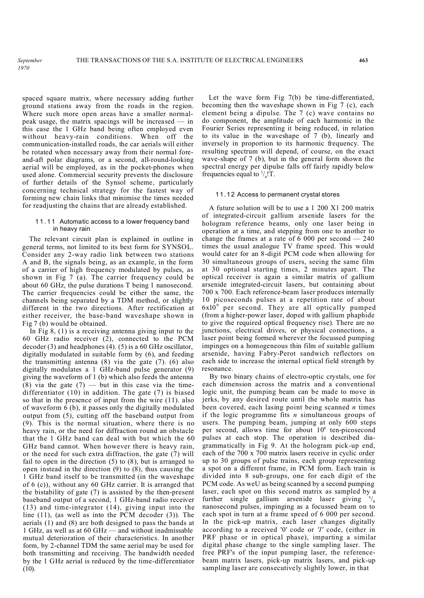spaced square matrix, where necessary adding further ground stations away from the roads in the region. Where such more open areas have a smaller normalpeak usage, the matrix spacings will be increased — in this case the 1 GHz band being often employed even without heavy-rain conditions. When off the communication-installed roads, the car aerials will either be rotated when necessary away from their normal foreand-aft polar diagrams, or a second, all-round-looking aerial will be employed, as in the pocket-phones when used alone. Commercial security prevents the disclosure of further details of the Synsol scheme, particularly concerning technical strategy for the fastest way of forming new chain links that minimise the times needed for readjusting the chains that are already established.

#### 11.11 Automatic access to a lower frequency band in heavy rain

The relevant circuit plan is explained in outline in general terms, not limited to its best form for SYNSOL. Consider any 2-way radio link between two stations A and B, the signals being, as an example, in the form of a carrier of high frequency modulated by pulses, as shown in Fig 7 (a). The carrier frequency could be about 60 GHz, the pulse durations T being 1 nanosecond. The carrier frequencies could be either the same, the channels being separated by a TDM method, or slightly different in the two directions. After rectification at either receiver, the base-band waveshape shown in Fig 7 (b) would be obtained.

In Fig 8, (1) is a receiving antenna giving input to the 60 GHz radio receiver (2), connected to the PCM decoder (3) and headphones (4). (5) is a 60 GHz oscillator, digitally modulated in suitable form by (6), and feeding the transmitting antenna  $(8)$  via the gate  $(7)$ .  $(6)$  also digitally modulates a 1 GHz-band pulse generator (9) giving the waveform of 1 (b) which also feeds the antenna  $(8)$  via the gate  $(7)$  — but in this case via the timedifferentiator (10) in addition. The gate (7) is biased so that in the presence of input from the wire (11). also of waveform 6 (b), it passes only the digitally modulated output from (5), cutting off the baseband output from (9). This is the normal situation, where there is no heavy rain, or the need for diffraction round an obstacle that the 1 GHz band can deal with but which the 60 GHz band cannot. When however there is heavy rain, or the need for such extra diffraction, the gate (7) will fail to open in the direction  $(5)$  to  $(8)$ , but is arranged to open instead in the direction (9) to (8), thus causing the 1 GHz band itself to be transmitted (in the waveshape of 6 (c)), without any 60 GHz carrier. It is arranged that the bistability of gate (7) is assisted by the then-present baseband output of a second, 1 GHz-band radio receiver (13) and time-integrator (14), giving input into the line (11), (as well as into the PCM decoder (3)). The aerials (1) and (8) are both designed to pass the bands at 1 GHz, as well as at 60 GHz — and without inadmissable mutual deterioration of their characteristics. In another form, by 2-channel TDM the same aerial may be used for both transmitting and receiving. The bandwidth needed by the 1 GHz aerial is reduced by the time-differentiator (10).

Let the wave form Fig 7(b) be time-differentiated, becoming then the waveshape shown in Fig 7 (c), each element being a dipulse. The 7 (c) wave contains no do component, the amplitude of each harmonic in the Fourier Series representing it being reduced, in relation to its value in the waveshape of 7 (b), linearly and inversely in proportion to its harmonic frequency. The resulting spectrum will depend, of course, on the exact wave-shape of 7 (b), but in the general form shown the spectral energy per dipulse falls off fairly rapidly below frequencies equal to  $\frac{1}{a}$ . T.

#### 11.12 Access to permanent crystal stores

A future solution will be to use a 1 200 X1 200 matrix of integrated-circuit gallium arsenide lasers for the hologram reference beams, only one laser being in operation at a time, and stepping from one to another to change the frames at a rate of 6 000 per second  $-240$ times the usual analogue TV frame speed. This would would cater for an 8-digit PCM code when allowing for 30 simultaneous groups of users, seeing the same film at 30 optional starting times, 2 minutes apart. The optical receiver is again a similar matrix of gallium arsenide integrated-circuit lasers, but containing about 700 x 700. Each reference-beam laser produces internally 10 picoseconds pulses at a repetition rate of about  $6x10^9$  per second. They are all optically pumped (from a higher-power laser, doped with gallium phaphide to give the required optical frequency rise). There are no junctions, electrical drives, or physical connections, a laser point being formed wherever the focussed pumping impinges on a homogeneous thin film of suitable gallium arsenide, having Fabry-Perot sandwich reflectors on each side to increase the internal optical field strength by resonance.

By two binary chains of electro-optic crystals, one for each dimension across the matrix and a conventional logic unit, the pumping beam can be made to move in jerks, by any desired route until the whole matrix has been covered, each lasing point being scanned *n* times if the logic programme fits *n* simultaneous groups of users. The pumping beam, jumping at only 600 steps per second, allows time for about 10<sup>6</sup> ten-picosecond pulses at each stop. The operation is described diagrammatically in Fig 9. At the hologram pick-up end, each of the 700 x 700 matrix lasers receive in cyclic order up to 30 groups of pulse trains, each group representing a spot on a different frame, in PCM form. Each train is divided into 8 sub-groups, one for each digit of the PCM code. As weU as being scanned by a second pumping laser, each spot on this second matrix as sampled by a further single gallium arsenide laser giving  $x/6$ nanosecond pulses, impinging as a focussed beam on to each spot in turn at a frame speed of 6 000 per second. In the pick-up matrix, each laser changes digitally according to a received '0' code or *'I'* code, (either in PRF phase or in optical phase), imparting a similar digital phase change to the single sampling laser. The free PRF's of the input pumping laser, the referencebeam matrix lasers, pick-up matrix lasers, and pick-up sampling laser are consecutively slightly lower, in that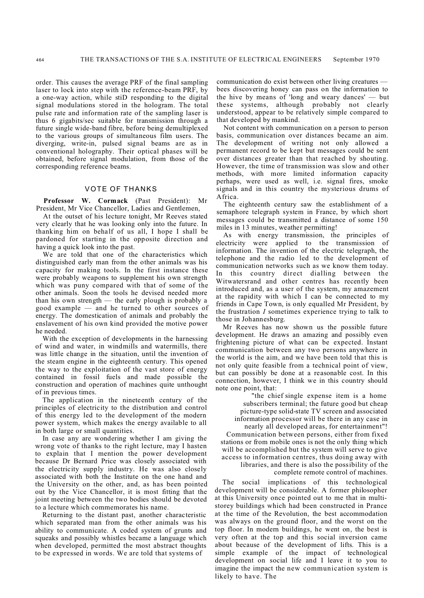order. This causes the average PRF of the final sampling laser to lock into step with the reference-beam PRF, by a one-way action, while stiD responding to the digital signal modulations stored in the hologram. The total pulse rate and information rate of the sampling laser is thus 6 gigabits/sec suitable for transmission through a future single wide-band fibre, before being demultiplexed to the various groups of simultaneous film users. The diverging, write-in, pulsed signal beams are as in conventional holography. Their optical phases will be obtained, before signal modulation, from those of the corresponding reference beams.

### VOTE OF THANKS

**Professor W. Cormack** (Past President): Mr President, Mr Vice Chancellor, Ladies and Gentlemen,

At the outset of his lecture tonight, Mr Reeves stated very clearly that he was looking only into the future. In thanking him on behalf of us all, I hope I shall be pardoned for starting in the opposite direction and having a quick look into the past.

We are told that one of the characteristics which distinguished early man from the other animals was his capacity for making tools. In the first instance these were probably weapons to supplement his own strength which was puny compared with that of some of the other animals. Soon the tools he devised needed more than his own strength — the early plough is probably a good example — and he turned to other sources of energy. The domestication of animals and probably the enslavement of his own kind provided the motive power he needed.

With the exception of developments in the harnessing of wind and water, in windmills and watermills, there was little change in the situation, until the invention of the steam engine in the eighteenth century. This opened the way to the exploitation of the vast store of energy contained in fossil fuels and made possible the construction and operation of machines quite unthought of in previous times.

The application in the nineteenth century of the principles of electricity to the distribution and control of this energy led to the development of the modern power system, which makes the energy available to all in both large or small quantities.

In case any are wondering whether I am giving the wrong vote of thanks to the right lecture, may I hasten to explain that I mention the power development because Dr Bernard Price was closely associated with the electricity supply industry. He was also closely associated with both the Institute on the one hand and the University on the other, and, as has been pointed out by the Vice Chancellor, it is most fitting that the joint meeting between the two bodies should be devoted to a lecture which commemorates his name.

Returning to the distant past, another characteristic which separated man from the other animals was his ability to communicate. A coded system of grunts and squeaks and possibly whistles became a language which when developed, permitted the most abstract thoughts to be expressed in words. We are told that systems of

communication do exist between other living creatures bees discovering honey can pass on the information to the hive by means of 'long and weary dances' — but these systems, although probably not clearly understood, appear to be relatively simple compared to that developed by mankind.

Not content with communication on a person to person basis, communication over distances became an aim. The development of writing not only allowed a permanent record to be kept but messages could be sent over distances greater than that reached by shouting. However, the time of transmission was slow and other methods, with more limited information capacity perhaps, were used as well, i.e. signal fires, smoke signals and in this country the mysterious drums of Africa.

The eighteenth century saw the establishment of a semaphore telegraph system in France, by which short messages could be transmitted a distance of some 150 miles in 13 minutes, weather permitting!

As with energy transmission, the principles of electricity were applied to the transmission of information. The invention of the electric telegraph, the telephone and the radio led to the development of communication networks such as we know them today. In this country direct dialling between the Witwatersrand and other centres has recently been introduced and, as a user of the system, my amazement at the rapidity with which I can be connected to my friends in Cape Town, is only equalled Mr President, by the frustration *I* sometimes experience trying to talk to those in Johannesburg.

Mr Reeves has now shown us the possible future development. He draws an amazing and possibly even frightening picture of what can be expected. Instant communication between any two persons anywhere in the world is the aim, and we have been told that this is not only quite feasible from a technical point of view, but can possibly be done at a reasonable cost. In this connection, however, I think we in this country should note one point, that:

"the chief single expense item is a home subscribers terminal; the future good but cheap picture-type solid-state TV screen and associated information processor will be there in any case in nearly all developed areas, for entertainment"! Communication between persons, either from fixed stations or from mobile ones is not the only thing which will be accomplished but the system will serve to give access to information centres, thus doing away with libraries, and there is also the possibility of the complete remote control of machines.

The social implications of this technological development will be considerable. A former philosopher at this University once pointed out to me that in multistorey buildings which had been constructed in Prance at the time of the Revolution, the best accommodation was always on the ground floor, and the worst on the top floor. In modern buildings, he went on, the best is very often at the top and this social inversion came about because of the development of lifts. This is a simple example of the impact of technological development on social life and I leave it to you to imagine the impact the new communication system is likely to have. The